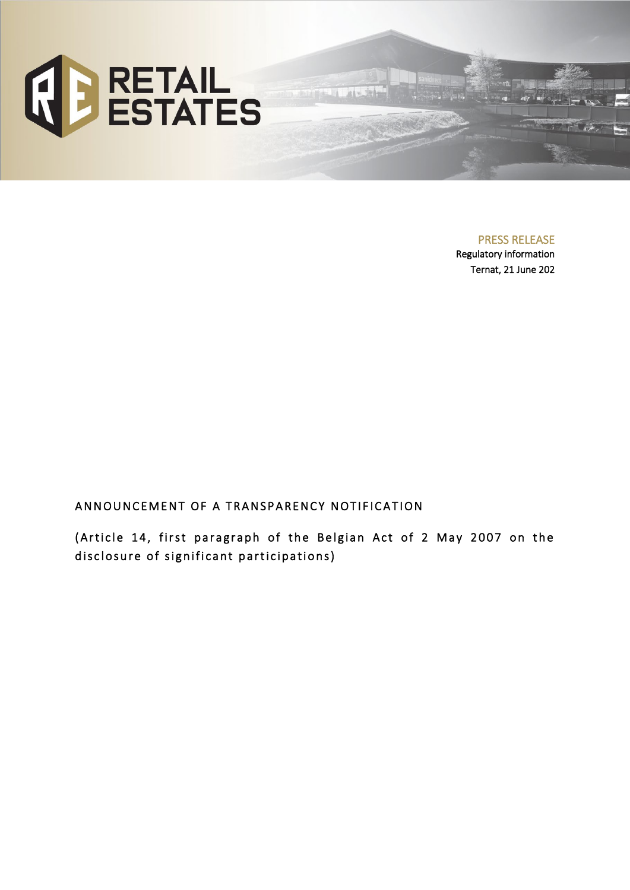

PRESS RELEASE

Regulatory information Ternat, 21 June 202

# ANNOUNCEMENT OF A TRANSPARENCY NOTIFICATION

(Article 14, first paragraph of the Belgian Act of 2 May 2007 on the disclosure of significant participations)

 $48 - 196$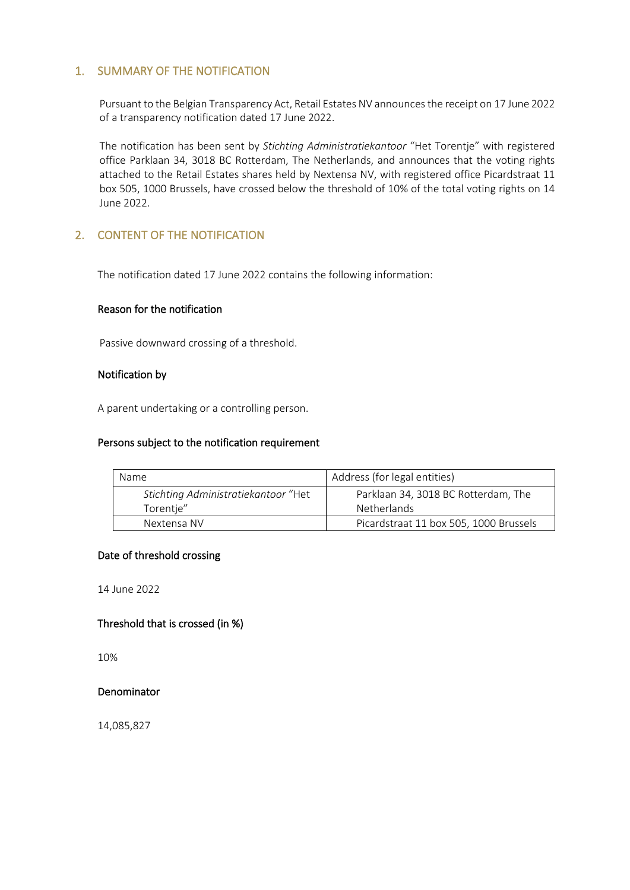# 1. SUMMARY OF THE NOTIFICATION

Pursuant to the Belgian Transparency Act, Retail Estates NV announces the receipt on 17 June 2022 of a transparency notification dated 17 June 2022.

The notification has been sent by *Stichting Administratiekantoor* "Het Torentje" with registered office Parklaan 34, 3018 BC Rotterdam, The Netherlands, and announces that the voting rights attached to the Retail Estates shares held by Nextensa NV, with registered office Picardstraat 11 box 505, 1000 Brussels, have crossed below the threshold of 10% of the total voting rights on 14 June 2022.

# 2. CONTENT OF THE NOTIFICATION

The notification dated 17 June 2022 contains the following information:

## Reason for the notification

Passive downward crossing of a threshold.

## Notification by

A parent undertaking or a controlling person.

#### Persons subject to the notification requirement

| Name                                | Address (for legal entities)           |  |  |
|-------------------------------------|----------------------------------------|--|--|
| Stichting Administratiekantoor "Het | Parklaan 34, 3018 BC Rotterdam, The    |  |  |
| Torentje"                           | <b>Netherlands</b>                     |  |  |
| Nextensa NV                         | Picardstraat 11 box 505, 1000 Brussels |  |  |

#### Date of threshold crossing

14 June 2022

# Threshold that is crossed (in %)

10%

#### Denominator

14,085,827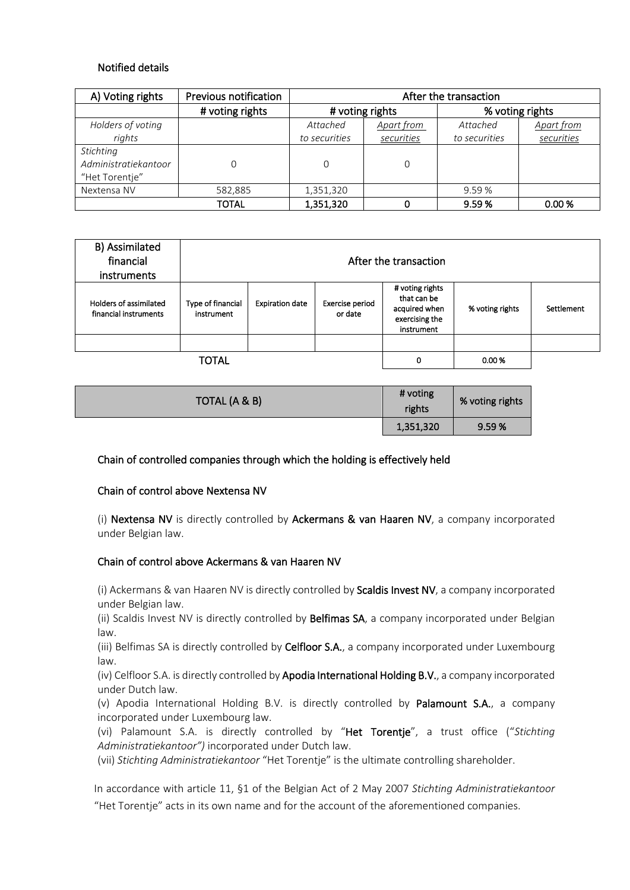# Notified details

| A) Voting rights                                    | Previous notification | After the transaction |            |                 |            |
|-----------------------------------------------------|-----------------------|-----------------------|------------|-----------------|------------|
|                                                     | # voting rights       | # voting rights       |            | % voting rights |            |
| Holders of voting                                   |                       | Attached              | Apart from | Attached        | Apart from |
| rights                                              |                       | to securities         | securities | to securities   | securities |
| Stichting<br>Administratiekantoor<br>"Het Torentje" | 0                     |                       |            |                 |            |
| Nextensa NV                                         | 582,885               | 1,351,320             |            | 9.59%           |            |
|                                                     | TOTAL                 | 1,351,320             |            | 9.59%           | 0.00%      |

| B) Assimilated<br>financial<br>instruments      | After the transaction           |                        |                            |                                                                                 |                 |            |
|-------------------------------------------------|---------------------------------|------------------------|----------------------------|---------------------------------------------------------------------------------|-----------------|------------|
| Holders of assimilated<br>financial instruments | Type of financial<br>instrument | <b>Expiration date</b> | Exercise period<br>or date | # voting rights<br>that can be<br>acquired when<br>exercising the<br>instrument | % voting rights | Settlement |
|                                                 |                                 |                        |                            |                                                                                 |                 |            |
|                                                 | TOTAL                           |                        |                            | 0                                                                               | 0.00%           |            |

| TOTAL (A & B) | # voting<br>rights | % voting rights |
|---------------|--------------------|-----------------|
|               | 1,351,320          | 9.59%           |

# Chain of controlled companies through which the holding is effectively held

#### Chain of control above Nextensa NV

(i) Nextensa NV is directly controlled by Ackermans & van Haaren NV, a company incorporated under Belgian law.

#### Chain of control above Ackermans & van Haaren NV

(i) Ackermans & van Haaren NV is directly controlled by Scaldis Invest NV, a company incorporated under Belgian law.

(ii) Scaldis Invest NV is directly controlled by Belfimas SA, a company incorporated under Belgian law.

(iii) Belfimas SA is directly controlled by Celfloor S.A., a company incorporated under Luxembourg law.

(iv) Celfloor S.A. is directly controlled by Apodia International Holding B.V., a company incorporated under Dutch law.

(v) Apodia International Holding B.V. is directly controlled by Palamount S.A., a company incorporated under Luxembourg law.

(vi) Palamount S.A. is directly controlled by "Het Torentje", a trust office ("*Stichting Administratiekantoor")* incorporated under Dutch law.

(vii) *Stichting Administratiekantoor* "Het Torentje" is the ultimate controlling shareholder.

In accordance with article 11, §1 of the Belgian Act of 2 May 2007 *Stichting Administratiekantoor* "Het Torentje" acts in its own name and for the account of the aforementioned companies.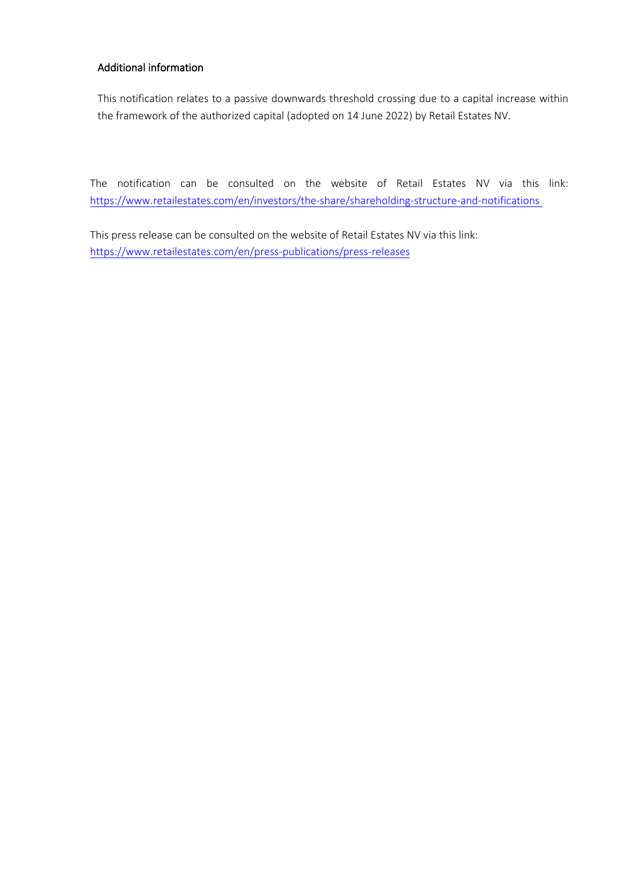# Additional information

This notification relates to a passive downwards threshold crossing due to a capital increase within the framework of the authorized capital (adopted on 14 June 2022) by Retail Estates NV.

The notification can be consulted on the website of Retail Estates NV via this link: <https://www.retailestates.com/en/investors/the-share/shareholding-structure-and-notifications>

This press release can be consulted on the website of Retail Estates NV via this link: <https://www.retailestates.com/en/press-publications/press-releases>